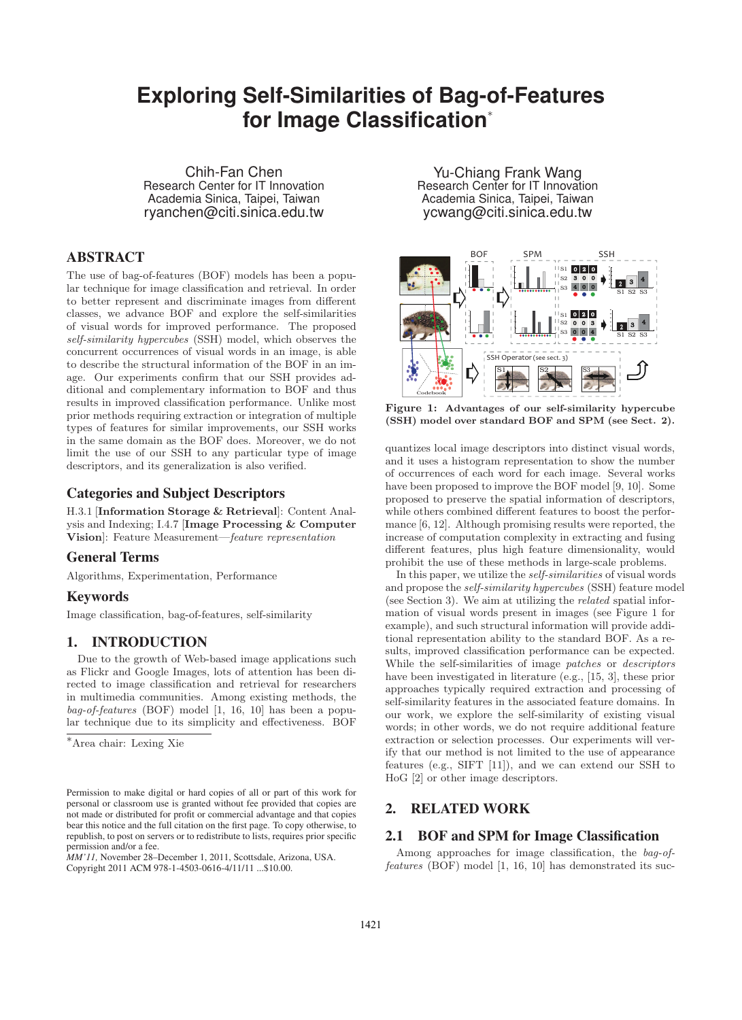# **Exploring Selfication∗**<br> **For Image Classification<sup>∗</sup>**

Chih-Fan Chen Research Center for IT Innovation Academia Sinica, Taipei, Taiwan ryanchen@citi.sinica.edu.tw

# ABSTRACT

The use of bag-of-features (BOF) models has been a popular technique for image classification and retrieval. In order to better represent and discriminate images from different classes, we advance BOF and explore the self-similarities of visual words for improved performance. The proposed *self-similarity hypercubes* (SSH) model, which observes the concurrent occurrences of visual words in an image, is able to describe the structural information of the BOF in an image. Our experiments confirm that our SSH provides additional and complementary information to BOF and thus results in improved classification performance. Unlike most prior methods requiring extraction or integration of multiple types of features for similar improvements, our SSH works in the same domain as the BOF does. Moreover, we do not limit the use of our SSH to any particular type of image descriptors, and its generalization is also verified.

## Categories and Subject Descriptors

H.3.1 [**Information Storage & Retrieval**]: Content Analysis and Indexing; I.4.7 [**Image Processing & Computer Vision**]: Feature Measurement—*feature representation*

# General Terms

Algorithms, Experimentation, Performance

### Keywords

Image classification, bag-of-features, self-similarity

# 1. INTRODUCTION

Due to the growth of Web-based image applications such as Flickr and Google Images, lots of attention has been directed to image classification and retrieval for researchers in multimedia communities. Among existing methods, the *bag-of-features* (BOF) model [1, 16, 10] has been a popular technique due to its simplicity and effectiveness. BOF

*MM'11,* November 28–December 1, 2011, Scottsdale, Arizona, USA.

Copyright 2011 ACM 978-1-4503-0616-4/11/11 ...\$10.00.

Yu-Chiang Frank Wang Research Center for IT Innovation Academia Sinica, Taipei, Taiwan ycwang@citi.sinica.edu.tw



**Figure 1: Advantages of our self-similarity hypercube (SSH) model over standard BOF and SPM (see Sect. 2).**

quantizes local image descriptors into distinct visual words, and it uses a histogram representation to show the number of occurrences of each word for each image. Several works have been proposed to improve the BOF model [9, 10]. Some proposed to preserve the spatial information of descriptors, while others combined different features to boost the performance [6, 12]. Although promising results were reported, the increase of computation complexity in extracting and fusing different features, plus high feature dimensionality, would prohibit the use of these methods in large-scale problems.

In this paper, we utilize the *self-similarities* of visual words and propose the *self-similarity hypercubes* (SSH) feature model (see Section 3). We aim at utilizing the *related* spatial information of visual words present in images (see Figure 1 for example), and such structural information will provide additional representation ability to the standard BOF. As a results, improved classification performance can be expected. While the self-similarities of image *patches* or *descriptors* have been investigated in literature (e.g., [15, 3], these prior approaches typically required extraction and processing of self-similarity features in the associated feature domains. In our work, we explore the self-similarity of existing visual words; in other words, we do not require additional feature extraction or selection processes. Our experiments will verify that our method is not limited to the use of appearance features (e.g., SIFT [11]), and we can extend our SSH to HoG [2] or other image descriptors.

# 2. RELATED WORK

## 2.1 BOF and SPM for Image Classification

Among approaches for image classification, the *bag-offeatures* (BOF) model [1, 16, 10] has demonstrated its suc-

<sup>∗</sup>Area chair: Lexing Xie

Permission to make digital or hard copies of all or part of this work for personal or classroom use is granted without fee provided that copies are not made or distributed for profit or commercial advantage and that copies bear this notice and the full citation on the first page. To copy otherwise, to republish, to post on servers or to redistribute to lists, requires prior specific permission and/or a fee.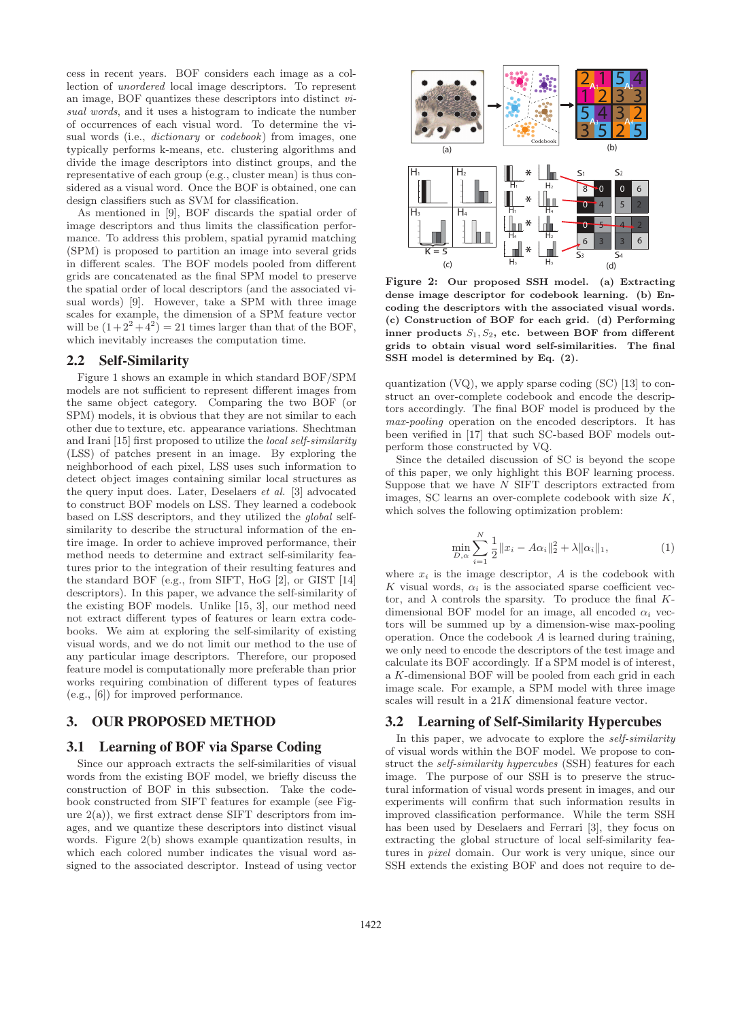cess in recent years. BOF considers each image as a collection of *unordered* local image descriptors. To represent an image, BOF quantizes these descriptors into distinct *visual words*, and it uses a histogram to indicate the number of occurrences of each visual word. To determine the visual words (i.e., *dictionary* or *codebook*) from images, one typically performs k-means, etc. clustering algorithms and divide the image descriptors into distinct groups, and the representative of each group (e.g., cluster mean) is thus considered as a visual word. Once the BOF is obtained, one can design classifiers such as SVM for classification.

As mentioned in [9], BOF discards the spatial order of image descriptors and thus limits the classification performance. To address this problem, spatial pyramid matching (SPM) is proposed to partition an image into several grids in different scales. The BOF models pooled from different grids are concatenated as the final SPM model to preserve the spatial order of local descriptors (and the associated visual words) [9]. However, take a SPM with three image scales for example, the dimension of a SPM feature vector will be  $(1+2^2+4^2)=21$  times larger than that of the BOF, which inevitably increases the computation time.

#### 2.2 Self-Similarity

Figure 1 shows an example in which standard BOF/SPM models are not sufficient to represent different images from the same object category. Comparing the two BOF (or SPM) models, it is obvious that they are not similar to each other due to texture, etc. appearance variations. Shechtman and Irani [15] first proposed to utilize the *local self-similarity* (LSS) of patches present in an image. By exploring the neighborhood of each pixel, LSS uses such information to detect object images containing similar local structures as the query input does. Later, Deselaers *et al.* [3] advocated to construct BOF models on LSS. They learned a codebook based on LSS descriptors, and they utilized the *global* selfsimilarity to describe the structural information of the entire image. In order to achieve improved performance, their method needs to determine and extract self-similarity features prior to the integration of their resulting features and the standard BOF (e.g., from SIFT, HoG [2], or GIST [14] descriptors). In this paper, we advance the self-similarity of the existing BOF models. Unlike [15, 3], our method need not extract different types of features or learn extra codebooks. We aim at exploring the self-similarity of existing visual words, and we do not limit our method to the use of any particular image descriptors. Therefore, our proposed feature model is computationally more preferable than prior works requiring combination of different types of features (e.g., [6]) for improved performance.

# 3. OUR PROPOSED METHOD

#### 3.1 Learning of BOF via Sparse Coding

Since our approach extracts the self-similarities of visual words from the existing BOF model, we briefly discuss the construction of BOF in this subsection. Take the codebook constructed from SIFT features for example (see Figure  $2(a)$ , we first extract dense SIFT descriptors from images, and we quantize these descriptors into distinct visual words. Figure 2(b) shows example quantization results, in which each colored number indicates the visual word assigned to the associated descriptor. Instead of using vector



**Figure 2: Our proposed SSH model. (a) Extracting dense image descriptor for codebook learning. (b) Encoding the descriptors with the associated visual words. (c) Construction of BOF for each grid. (d) Performing** inner products  $S_1, S_2$ , etc. between BOF from different **grids to obtain visual word self-similarities. The final SSH model is determined by Eq. (2).**

quantization (VQ), we apply sparse coding (SC) [13] to construct an over-complete codebook and encode the descriptors accordingly. The final BOF model is produced by the *max-pooling* operation on the encoded descriptors. It has been verified in [17] that such SC-based BOF models outperform those constructed by VQ.

Since the detailed discussion of SC is beyond the scope of this paper, we only highlight this BOF learning process. Suppose that we have  $N$  SIFT descriptors extracted from images, SC learns an over-complete codebook with size  $K$ , which solves the following optimization problem:

$$
\min_{D,\alpha} \sum_{i=1}^{N} \frac{1}{2} ||x_i - A\alpha_i||_2^2 + \lambda ||\alpha_i||_1,
$$
\n(1)

where  $x_i$  is the image descriptor,  $A$  is the codebook with K visual words,  $\alpha_i$  is the associated sparse coefficient vector, and  $\lambda$  controls the sparsity. To produce the final Kdimensional BOF model for an image, all encoded  $\alpha_i$  vectors will be summed up by a dimension-wise max-pooling operation. Once the codebook A is learned during training, we only need to encode the descriptors of the test image and calculate its BOF accordingly. If a SPM model is of interest, a K-dimensional BOF will be pooled from each grid in each image scale. For example, a SPM model with three image scales will result in a  $21K$  dimensional feature vector.

#### 3.2 Learning of Self-Similarity Hypercubes

In this paper, we advocate to explore the *self-similarity* of visual words within the BOF model. We propose to construct the *self-similarity hypercubes* (SSH) features for each image. The purpose of our SSH is to preserve the structural information of visual words present in images, and our experiments will confirm that such information results in improved classification performance. While the term SSH has been used by Deselaers and Ferrari [3], they focus on extracting the global structure of local self-similarity features in *pixel* domain. Our work is very unique, since our SSH extends the existing BOF and does not require to de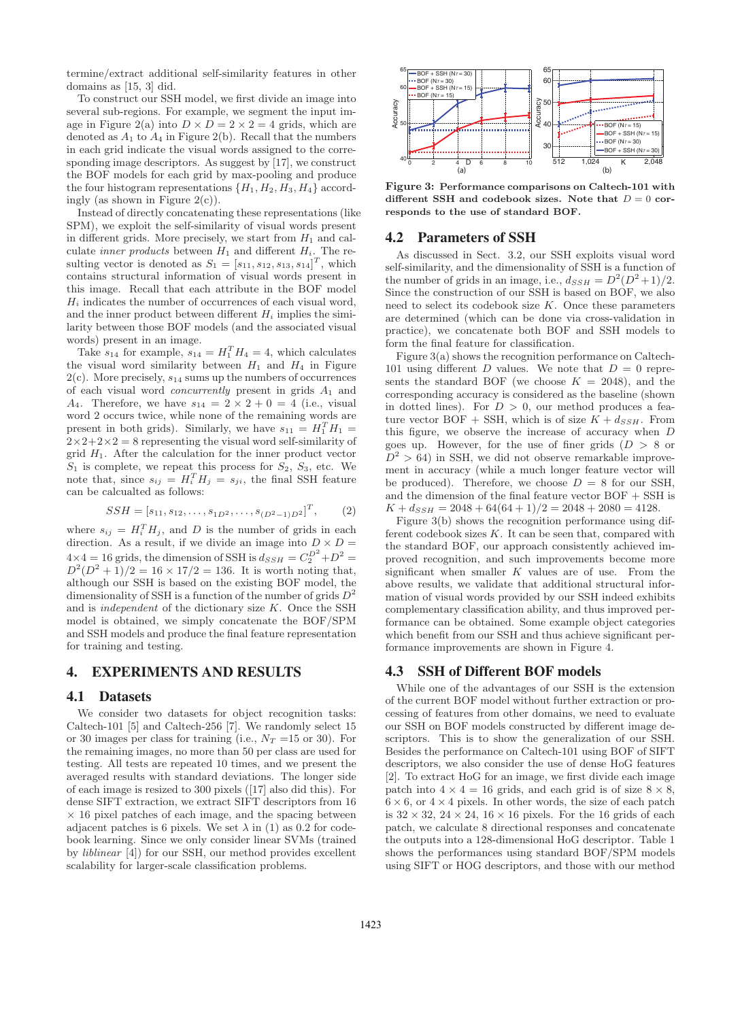termine/extract additional self-similarity features in other domains as [15, 3] did.

To construct our SSH model, we first divide an image into several sub-regions. For example, we segment the input image in Figure 2(a) into  $D \times D = 2 \times 2 = 4$  grids, which are denoted as  $A_1$  to  $A_4$  in Figure 2(b). Recall that the numbers in each grid indicate the visual words assigned to the corresponding image descriptors. As suggest by [17], we construct the BOF models for each grid by max-pooling and produce the four histogram representations  $\{H_1, H_2, H_3, H_4\}$  accordingly (as shown in Figure  $2(c)$ ).

Instead of directly concatenating these representations (like SPM), we exploit the self-similarity of visual words present in different grids. More precisely, we start from  $H_1$  and calculate *inner products* between  $H_1$  and different  $H_i$ . The resulting vector is denoted as  $S_1 = [s_{11}, s_{12}, s_{13}, s_{14}]^T$ , which contains structural information of visual words present in this image. Recall that each attribute in the BOF model  $H_i$  indicates the number of occurrences of each visual word, and the inner product between different  $H_i$  implies the similarity between those BOF models (and the associated visual words) present in an image.

Take  $s_{14}$  for example,  $s_{14} = H_1^T H_4 = 4$ , which calculates the visual word similarity between  $H_1$  and  $H_4$  in Figure  $2(c)$ . More precisely,  $s_{14}$  sums up the numbers of occurrences of each visual word *concurrently* present in grids A<sup>1</sup> and  $A_4$ . Therefore, we have  $s_{14} = 2 \times 2 + 0 = 4$  (i.e., visual word 2 occurs twice, while none of the remaining words are present in both grids). Similarly, we have  $s_{11} = H_1^T H_1 =$  $2\times2+2\times2=8$  representing the visual word self-similarity of grid  $H_1$ . After the calculation for the inner product vector  $S_1$  is complete, we repeat this process for  $S_2$ ,  $S_3$ , etc. We note that, since  $s_{ij} = H_i^T H_j = s_{ji}$ , the final SSH feature can be calcualted as follows:

$$
SSH = [s_{11}, s_{12}, \dots, s_{1D^2}, \dots, s_{(D^2-1)D^2}]^T, \qquad (2)
$$

where  $s_{ij} = H_i^T H_j$ , and D is the number of grids in each direction. As a result, if we divide an image into  $D \times D =$  $4\times4=16$  grids, the dimension of SSH is  $d_{SSH} = C_2^{D^2} + D^2 =$  $D^{2}(D^{2} + 1)/2 = 16 \times 17/2 = 136$ . It is worth noting that, although our SSH is based on the existing BOF model, the dimensionality of SSH is a function of the number of grids  $D^2$ and is *independent* of the dictionary size K. Once the SSH model is obtained, we simply concatenate the BOF/SPM and SSH models and produce the final feature representation for training and testing.

### 4. EXPERIMENTS AND RESULTS

#### 4.1 Datasets

We consider two datasets for object recognition tasks: Caltech-101 [5] and Caltech-256 [7]. We randomly select 15 or 30 images per class for training (i.e.,  $N_T = 15$  or 30). For the remaining images, no more than 50 per class are used for testing. All tests are repeated 10 times, and we present the averaged results with standard deviations. The longer side of each image is resized to 300 pixels ([17] also did this). For dense SIFT extraction, we extract SIFT descriptors from 16  $\times$  16 pixel patches of each image, and the spacing between adjacent patches is 6 pixels. We set  $\lambda$  in (1) as 0.2 for codebook learning. Since we only consider linear SVMs (trained by *liblinear* [4]) for our SSH, our method provides excellent scalability for larger-scale classification problems.



**Figure 3: Performance comparisons on Caltech-101 with** different SSH and codebook sizes. Note that  $D = 0$  cor**responds to the use of standard BOF.**

#### 4.2 Parameters of SSH

As discussed in Sect. 3.2, our SSH exploits visual word self-similarity, and the dimensionality of SSH is a function of the number of grids in an image, i.e.,  $d_{SSH} = D^2(D^2+1)/2$ . Since the construction of our SSH is based on BOF, we also need to select its codebook size  $K$ . Once these parameters are determined (which can be done via cross-validation in practice), we concatenate both BOF and SSH models to form the final feature for classification.

Figure 3(a) shows the recognition performance on Caltech-101 using different D values. We note that  $D = 0$  represents the standard BOF (we choose  $K = 2048$ ), and the corresponding accuracy is considered as the baseline (shown in dotted lines). For  $D > 0$ , our method produces a feature vector BOF + SSH, which is of size  $K + d_{SSH}$ . From this figure, we observe the increase of accuracy when D goes up. However, for the use of finer grids  $(D > 8$  or  $D^2 > 64$ ) in SSH, we did not observe remarkable improvement in accuracy (while a much longer feature vector will be produced). Therefore, we choose  $D = 8$  for our SSH, and the dimension of the final feature vector BOF + SSH is  $K + d_{SSH} = 2048 + 64(64 + 1)/2 = 2048 + 2080 = 4128.$ 

Figure 3(b) shows the recognition performance using different codebook sizes  $K$ . It can be seen that, compared with the standard BOF, our approach consistently achieved improved recognition, and such improvements become more significant when smaller  $K$  values are of use. From the above results, we validate that additional structural information of visual words provided by our SSH indeed exhibits complementary classification ability, and thus improved performance can be obtained. Some example object categories which benefit from our SSH and thus achieve significant performance improvements are shown in Figure 4.

#### 4.3 SSH of Different BOF models

While one of the advantages of our SSH is the extension of the current BOF model without further extraction or processing of features from other domains, we need to evaluate our SSH on BOF models constructed by different image descriptors. This is to show the generalization of our SSH. Besides the performance on Caltech-101 using BOF of SIFT descriptors, we also consider the use of dense HoG features [2]. To extract HoG for an image, we first divide each image patch into  $4 \times 4 = 16$  grids, and each grid is of size  $8 \times 8$ ,  $6 \times 6$ , or  $4 \times 4$  pixels. In other words, the size of each patch is  $32 \times 32$ ,  $24 \times 24$ ,  $16 \times 16$  pixels. For the 16 grids of each patch, we calculate 8 directional responses and concatenate the outputs into a 128-dimensional HoG descriptor. Table 1 shows the performances using standard BOF/SPM models using SIFT or HOG descriptors, and those with our method